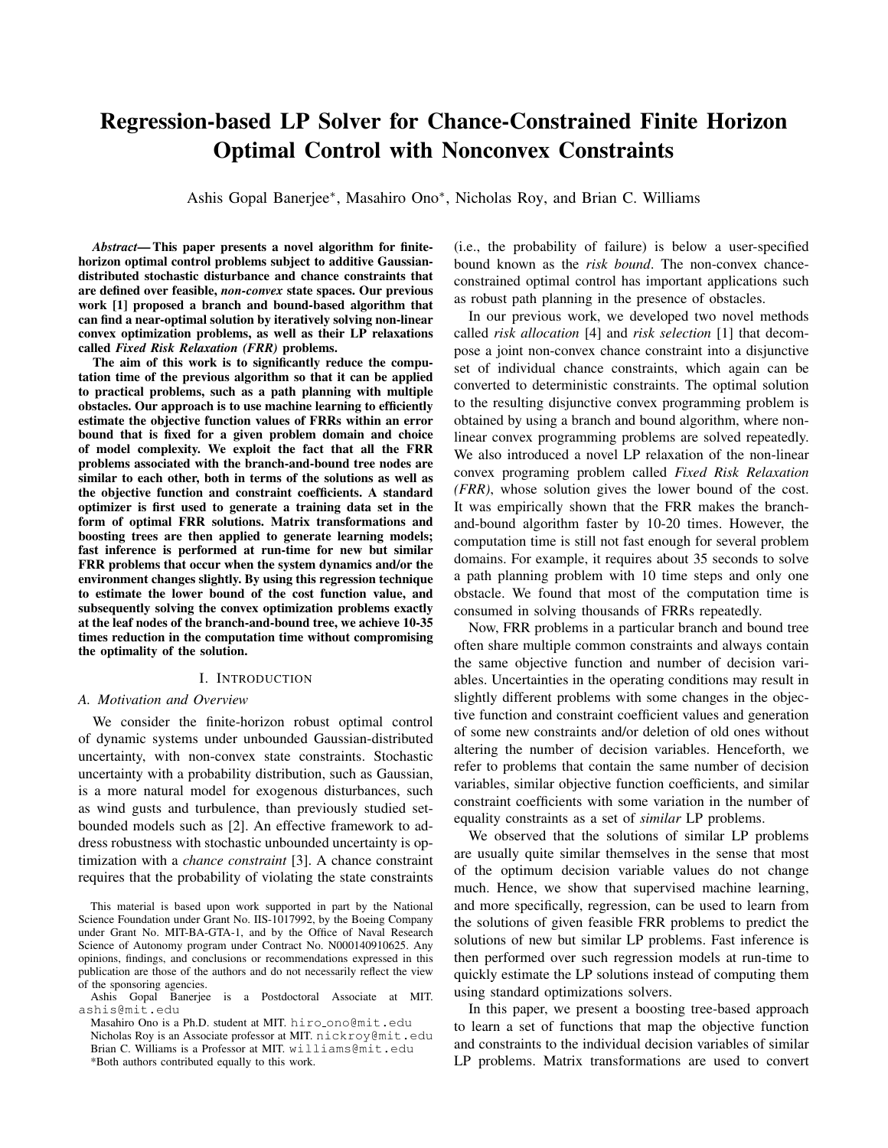# Regression-based LP Solver for Chance-Constrained Finite Horizon Optimal Control with Nonconvex Constraints

Ashis Gopal Banerjee*∗* , Masahiro Ono*∗* , Nicholas Roy, and Brian C. Williams

*Abstract*— This paper presents a novel algorithm for finitehorizon optimal control problems subject to additive Gaussiandistributed stochastic disturbance and chance constraints that are defined over feasible, *non-convex* state spaces. Our previous work [1] proposed a branch and bound-based algorithm that can find a near-optimal solution by iteratively solving non-linear convex optimization problems, as well as their LP relaxations called *Fixed Risk Relaxation (FRR)* problems.

The aim of this work is to significantly reduce the computation time of the previous algorithm so that it can be applied to practical problems, such as a path planning with multiple obstacles. Our approach is to use machine learning to efficiently estimate the objective function values of FRRs within an error bound that is fixed for a given problem domain and choice of model complexity. We exploit the fact that all the FRR problems associated with the branch-and-bound tree nodes are similar to each other, both in terms of the solutions as well as the objective function and constraint coefficients. A standard optimizer is first used to generate a training data set in the form of optimal FRR solutions. Matrix transformations and boosting trees are then applied to generate learning models; fast inference is performed at run-time for new but similar FRR problems that occur when the system dynamics and/or the environment changes slightly. By using this regression technique to estimate the lower bound of the cost function value, and subsequently solving the convex optimization problems exactly at the leaf nodes of the branch-and-bound tree, we achieve 10-35 times reduction in the computation time without compromising the optimality of the solution.

### I. INTRODUCTION

#### *A. Motivation and Overview*

We consider the finite-horizon robust optimal control of dynamic systems under unbounded Gaussian-distributed uncertainty, with non-convex state constraints. Stochastic uncertainty with a probability distribution, such as Gaussian, is a more natural model for exogenous disturbances, such as wind gusts and turbulence, than previously studied setbounded models such as [2]. An effective framework to address robustness with stochastic unbounded uncertainty is optimization with a *chance constraint* [3]. A chance constraint requires that the probability of violating the state constraints (i.e., the probability of failure) is below a user-specified bound known as the *risk bound*. The non-convex chanceconstrained optimal control has important applications such as robust path planning in the presence of obstacles.

In our previous work, we developed two novel methods called *risk allocation* [4] and *risk selection* [1] that decompose a joint non-convex chance constraint into a disjunctive set of individual chance constraints, which again can be converted to deterministic constraints. The optimal solution to the resulting disjunctive convex programming problem is obtained by using a branch and bound algorithm, where nonlinear convex programming problems are solved repeatedly. We also introduced a novel LP relaxation of the non-linear convex programing problem called *Fixed Risk Relaxation (FRR)*, whose solution gives the lower bound of the cost. It was empirically shown that the FRR makes the branchand-bound algorithm faster by 10-20 times. However, the computation time is still not fast enough for several problem domains. For example, it requires about 35 seconds to solve a path planning problem with 10 time steps and only one obstacle. We found that most of the computation time is consumed in solving thousands of FRRs repeatedly.

Now, FRR problems in a particular branch and bound tree often share multiple common constraints and always contain the same objective function and number of decision variables. Uncertainties in the operating conditions may result in slightly different problems with some changes in the objective function and constraint coefficient values and generation of some new constraints and/or deletion of old ones without altering the number of decision variables. Henceforth, we refer to problems that contain the same number of decision variables, similar objective function coefficients, and similar constraint coefficients with some variation in the number of equality constraints as a set of *similar* LP problems.

We observed that the solutions of similar LP problems are usually quite similar themselves in the sense that most of the optimum decision variable values do not change much. Hence, we show that supervised machine learning, and more specifically, regression, can be used to learn from the solutions of given feasible FRR problems to predict the solutions of new but similar LP problems. Fast inference is then performed over such regression models at run-time to quickly estimate the LP solutions instead of computing them using standard optimizations solvers.

In this paper, we present a boosting tree-based approach to learn a set of functions that map the objective function and constraints to the individual decision variables of similar LP problems. Matrix transformations are used to convert

This material is based upon work supported in part by the National Science Foundation under Grant No. IIS-1017992, by the Boeing Company under Grant No. MIT-BA-GTA-1, and by the Office of Naval Research Science of Autonomy program under Contract No. N000140910625. Any opinions, findings, and conclusions or recommendations expressed in this publication are those of the authors and do not necessarily reflect the view of the sponsoring agencies.

Ashis Gopal Banerjee is a Postdoctoral Associate at MIT. ashis@mit.edu

Masahiro Ono is a Ph.D. student at MIT. hiro\_ono@mit.edu Nicholas Roy is an Associate professor at MIT. nickroy@mit.edu Brian C. Williams is a Professor at MIT. williams@mit.edu \*Both authors contributed equally to this work.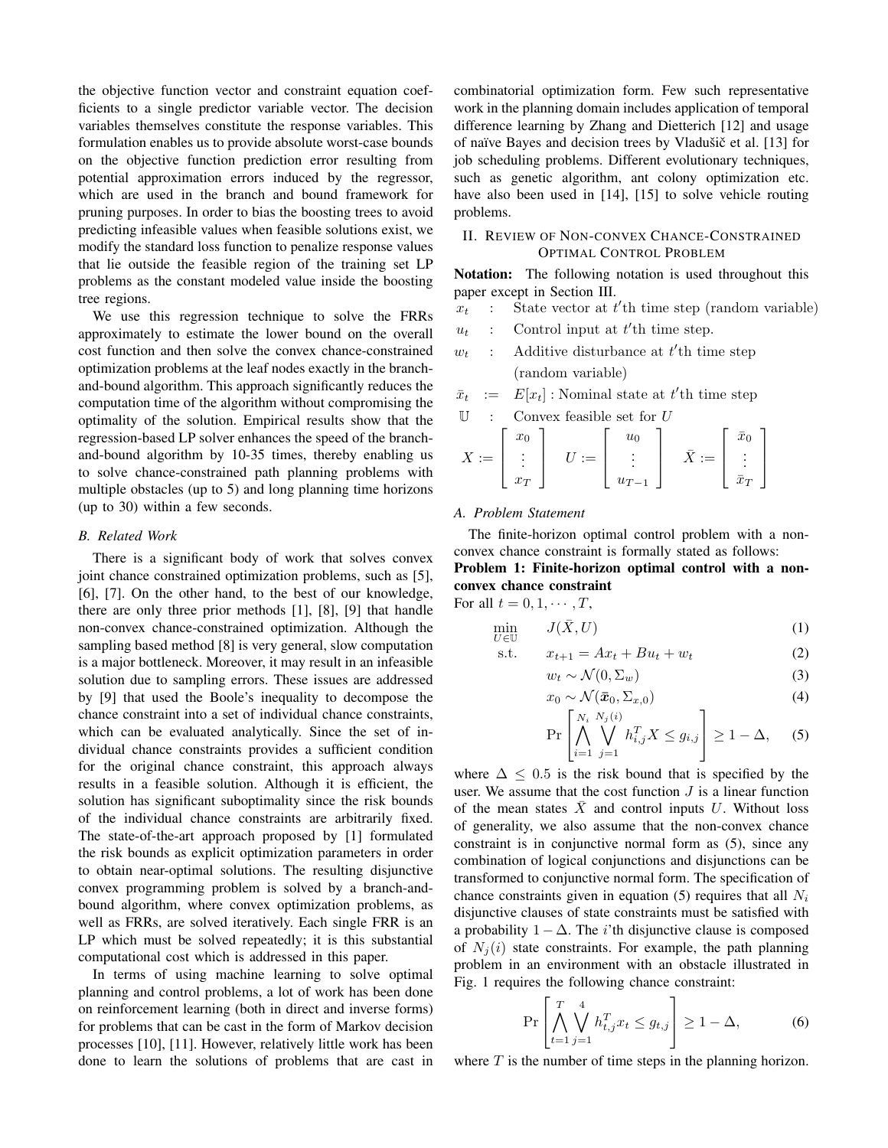the objective function vector and constraint equation coefficients to a single predictor variable vector. The decision variables themselves constitute the response variables. This formulation enables us to provide absolute worst-case bounds on the objective function prediction error resulting from potential approximation errors induced by the regressor, which are used in the branch and bound framework for pruning purposes. In order to bias the boosting trees to avoid predicting infeasible values when feasible solutions exist, we modify the standard loss function to penalize response values that lie outside the feasible region of the training set LP problems as the constant modeled value inside the boosting tree regions.

We use this regression technique to solve the FRRs approximately to estimate the lower bound on the overall cost function and then solve the convex chance-constrained optimization problems at the leaf nodes exactly in the branchand-bound algorithm. This approach significantly reduces the computation time of the algorithm without compromising the optimality of the solution. Empirical results show that the regression-based LP solver enhances the speed of the branchand-bound algorithm by 10-35 times, thereby enabling us to solve chance-constrained path planning problems with multiple obstacles (up to 5) and long planning time horizons (up to 30) within a few seconds.

# *B. Related Work*

There is a significant body of work that solves convex joint chance constrained optimization problems, such as [5], [6], [7]. On the other hand, to the best of our knowledge, there are only three prior methods [1], [8], [9] that handle non-convex chance-constrained optimization. Although the sampling based method [8] is very general, slow computation is a major bottleneck. Moreover, it may result in an infeasible solution due to sampling errors. These issues are addressed by [9] that used the Boole's inequality to decompose the chance constraint into a set of individual chance constraints, which can be evaluated analytically. Since the set of individual chance constraints provides a sufficient condition for the original chance constraint, this approach always results in a feasible solution. Although it is efficient, the solution has significant suboptimality since the risk bounds of the individual chance constraints are arbitrarily fixed. The state-of-the-art approach proposed by [1] formulated the risk bounds as explicit optimization parameters in order to obtain near-optimal solutions. The resulting disjunctive convex programming problem is solved by a branch-andbound algorithm, where convex optimization problems, as well as FRRs, are solved iteratively. Each single FRR is an LP which must be solved repeatedly; it is this substantial computational cost which is addressed in this paper.

In terms of using machine learning to solve optimal planning and control problems, a lot of work has been done on reinforcement learning (both in direct and inverse forms) for problems that can be cast in the form of Markov decision processes [10], [11]. However, relatively little work has been done to learn the solutions of problems that are cast in combinatorial optimization form. Few such representative work in the planning domain includes application of temporal difference learning by Zhang and Dietterich [12] and usage of naïve Bayes and decision trees by Vladušič et al. [13] for job scheduling problems. Different evolutionary techniques, such as genetic algorithm, ant colony optimization etc. have also been used in [14], [15] to solve vehicle routing problems.

# II. REVIEW OF NON-CONVEX CHANCE-CONSTRAINED OPTIMAL CONTROL PROBLEM

**Notation:** The following notation is used throughout this paper except in Section III.

- $x_t$  : State vector at  $t'$ <sup>th</sup> time step (random variable)
- $u_t$  : Control input at  $t'$ <sup>th</sup> time step.
- $w_t$  : Additive disturbance at  $t'$ <sup>th</sup> time step (random variable)

 $\bar{x}_t$  : *E*[ $x_t$ ] : Nominal state at *t*'th time step

$$
\mathbb{U} \quad : \quad \text{Convex feasible set for $U$}
$$

$$
X := \begin{bmatrix} x_0 \\ \vdots \\ x_T \end{bmatrix} \quad U := \begin{bmatrix} u_0 \\ \vdots \\ u_{T-1} \end{bmatrix} \quad \bar{X} := \begin{bmatrix} \bar{x}_0 \\ \vdots \\ \bar{x}_T \end{bmatrix}
$$

# *A. Problem Statement*

The finite-horizon optimal control problem with a nonconvex chance constraint is formally stated as follows: Problem 1: Finite-horizon optimal control with a nonconvex chance constraint

For all  $t = 0, 1, \cdots, T$ ,

$$
\min_{U \in \mathbb{U}} \qquad J(\bar{X}, U) \tag{1}
$$

s.t. 
$$
x_{t+1} = Ax_t + Bu_t + w_t
$$
 (2)

$$
w_t \sim \mathcal{N}(0, \Sigma_w) \tag{3}
$$

$$
x_0 \sim \mathcal{N}(\bar{x}_0, \Sigma_{x,0})
$$
 (4)

$$
\Pr\left[\bigwedge_{i=1}^{N_i} \bigvee_{j=1}^{N_j(i)} h_{i,j}^T X \le g_{i,j}\right] \ge 1 - \Delta,\qquad (5)
$$

where  $\Delta \leq 0.5$  is the risk bound that is specified by the user. We assume that the cost function *J* is a linear function of the mean states  $\overline{X}$  and control inputs *U*. Without loss of generality, we also assume that the non-convex chance constraint is in conjunctive normal form as (5), since any combination of logical conjunctions and disjunctions can be transformed to conjunctive normal form. The specification of chance constraints given in equation (5) requires that all *N<sup>i</sup>* disjunctive clauses of state constraints must be satisfied with a probability 1*−* ∆. The *i*'th disjunctive clause is composed of  $N_i(i)$  state constraints. For example, the path planning problem in an environment with an obstacle illustrated in Fig. 1 requires the following chance constraint:

$$
\Pr\left[\bigwedge_{t=1}^{T} \bigvee_{j=1}^{4} h_{t,j}^{T} x_{t} \leq g_{t,j}\right] \geq 1 - \Delta,\tag{6}
$$

where *T* is the number of time steps in the planning horizon.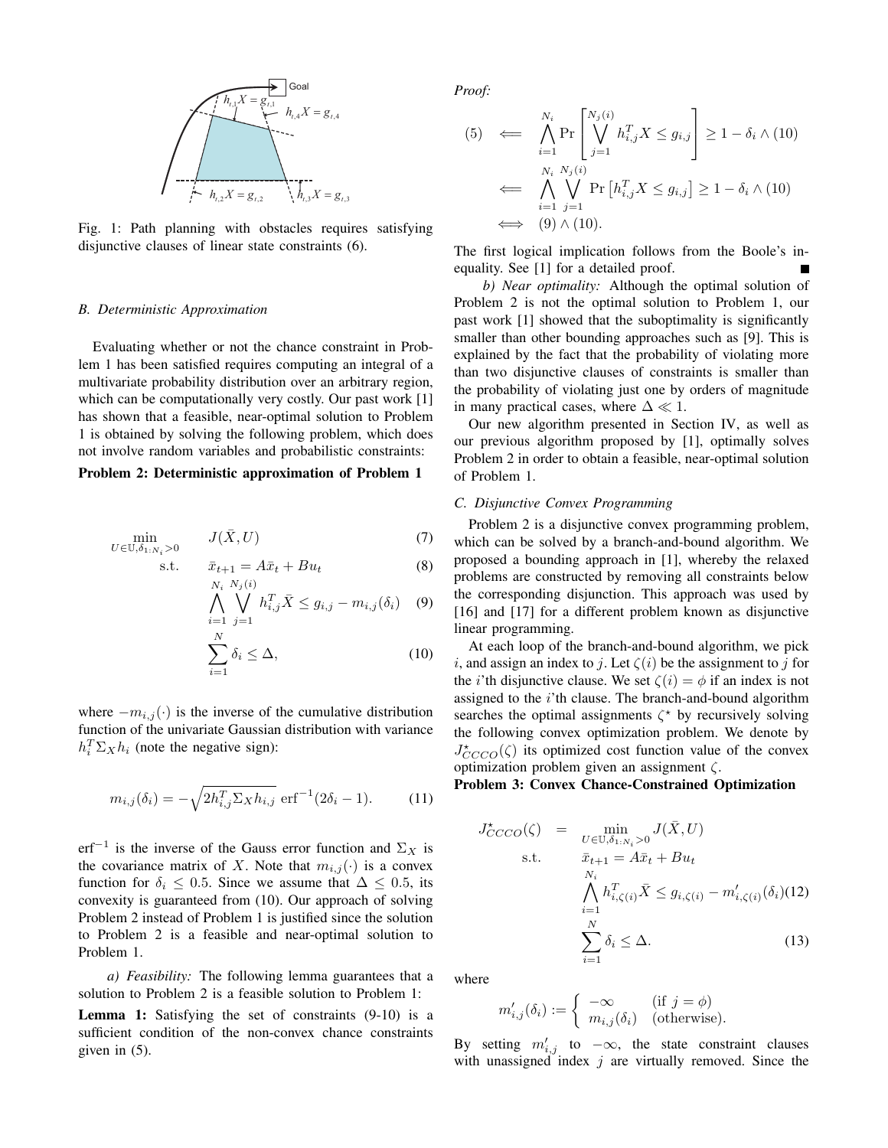

Fig. 1: Path planning with obstacles requires satisfying disjunctive clauses of linear state constraints (6).

### *B. Deterministic Approximation*

Evaluating whether or not the chance constraint in Problem 1 has been satisfied requires computing an integral of a multivariate probability distribution over an arbitrary region, which can be computationally very costly. Our past work [1] has shown that a feasible, near-optimal solution to Problem 1 is obtained by solving the following problem, which does not involve random variables and probabilistic constraints:

# Problem 2: Deterministic approximation of Problem 1

$$
\min_{U \in \mathbb{U}, \delta_{1:N_i} > 0} \qquad J(\bar{X}, U) \tag{7}
$$

s.t. 
$$
\bar{x}_{t+1} = A\bar{x}_t + Bu_t
$$

$$
N_i N_j(i)
$$
 (8)

$$
\bigwedge_{i=1}^{N_i} \bigvee_{j=1}^{N_j(i)} h_{i,j}^T \bar{X} \le g_{i,j} - m_{i,j}(\delta_i) \quad (9)
$$

$$
\sum_{i=1}^{N} \delta_i \le \Delta,\tag{10}
$$

where *−mi,j* (*·*) is the inverse of the cumulative distribution function of the univariate Gaussian distribution with variance  $h_i^T \Sigma_X h_i$  (note the negative sign):

$$
m_{i,j}(\delta_i) = -\sqrt{2h_{i,j}^T \Sigma_X h_{i,j}} \, \, \text{erf}^{-1}(2\delta_i - 1). \tag{11}
$$

erf*−*<sup>1</sup> is the inverse of the Gauss error function and Σ*<sup>X</sup>* is the covariance matrix of *X*. Note that  $m_{i,j}(\cdot)$  is a convex function for  $\delta_i \leq 0.5$ . Since we assume that  $\Delta \leq 0.5$ , its convexity is guaranteed from (10). Our approach of solving Problem 2 instead of Problem 1 is justified since the solution to Problem 2 is a feasible and near-optimal solution to Problem 1.

*a) Feasibility:* The following lemma guarantees that a solution to Problem 2 is a feasible solution to Problem 1:

Lemma 1: Satisfying the set of constraints (9-10) is a sufficient condition of the non-convex chance constraints given in (5).

*Proof:*

$$
(5) \iff \bigwedge_{i=1}^{N_i} \Pr\left[\bigvee_{j=1}^{N_j(i)} h_{i,j}^T X \le g_{i,j}\right] \ge 1 - \delta_i \wedge (10)
$$
  

$$
\iff \bigwedge_{i=1}^{N_i} \bigvee_{j=1}^{N_j(i)} \Pr\left[h_{i,j}^T X \le g_{i,j}\right] \ge 1 - \delta_i \wedge (10)
$$
  

$$
\iff (9) \wedge (10).
$$

The first logical implication follows from the Boole's inequality. See [1] for a detailed proof.

*b) Near optimality:* Although the optimal solution of Problem 2 is not the optimal solution to Problem 1, our past work [1] showed that the suboptimality is significantly smaller than other bounding approaches such as [9]. This is explained by the fact that the probability of violating more than two disjunctive clauses of constraints is smaller than the probability of violating just one by orders of magnitude in many practical cases, where ∆ *≪* 1.

Our new algorithm presented in Section IV, as well as our previous algorithm proposed by [1], optimally solves Problem 2 in order to obtain a feasible, near-optimal solution of Problem 1.

# *C. Disjunctive Convex Programming*

Problem 2 is a disjunctive convex programming problem, which can be solved by a branch-and-bound algorithm. We proposed a bounding approach in [1], whereby the relaxed problems are constructed by removing all constraints below the corresponding disjunction. This approach was used by [16] and [17] for a different problem known as disjunctive linear programming.

At each loop of the branch-and-bound algorithm, we pick *i*, and assign an index to *j*. Let  $\zeta(i)$  be the assignment to *j* for the *i*'th disjunctive clause. We set  $\zeta(i) = \phi$  if an index is not assigned to the *i*'th clause. The branch-and-bound algorithm searches the optimal assignments  $\zeta^*$  by recursively solving the following convex optimization problem. We denote by  $J_{CCCO}^{\star}(\zeta)$  its optimized cost function value of the convex optimization problem given an assignment *ζ*.

Problem 3: Convex Chance-Constrained Optimization

$$
J_{CCCO}^{\star}(\zeta) = \min_{\substack{U \in \mathbb{U}, \delta_1, N_i > 0 \\ \bar{x}_{t+1} = A\bar{x}_t + Bu_t}} J(\bar{X}, U)
$$
  
s.t.  $\bar{x}_{t+1} = A\bar{x}_t + Bu_t$   
 $\bigwedge_{i=1}^{N_i} h_{i,\zeta(i)}^T \bar{X} \le g_{i,\zeta(i)} - m'_{i,\zeta(i)}(\delta_i)$ (12)  
 $\sum_{i=1}^N \delta_i \le \Delta.$  (13)

where

$$
m'_{i,j}(\delta_i) := \begin{cases} -\infty & \text{(if } j = \phi) \\ m_{i,j}(\delta_i) & \text{(otherwise).} \end{cases}
$$

By setting  $m'_{i,j}$  to  $-\infty$ , the state constraint clauses with unassigned index  $j$  are virtually removed. Since the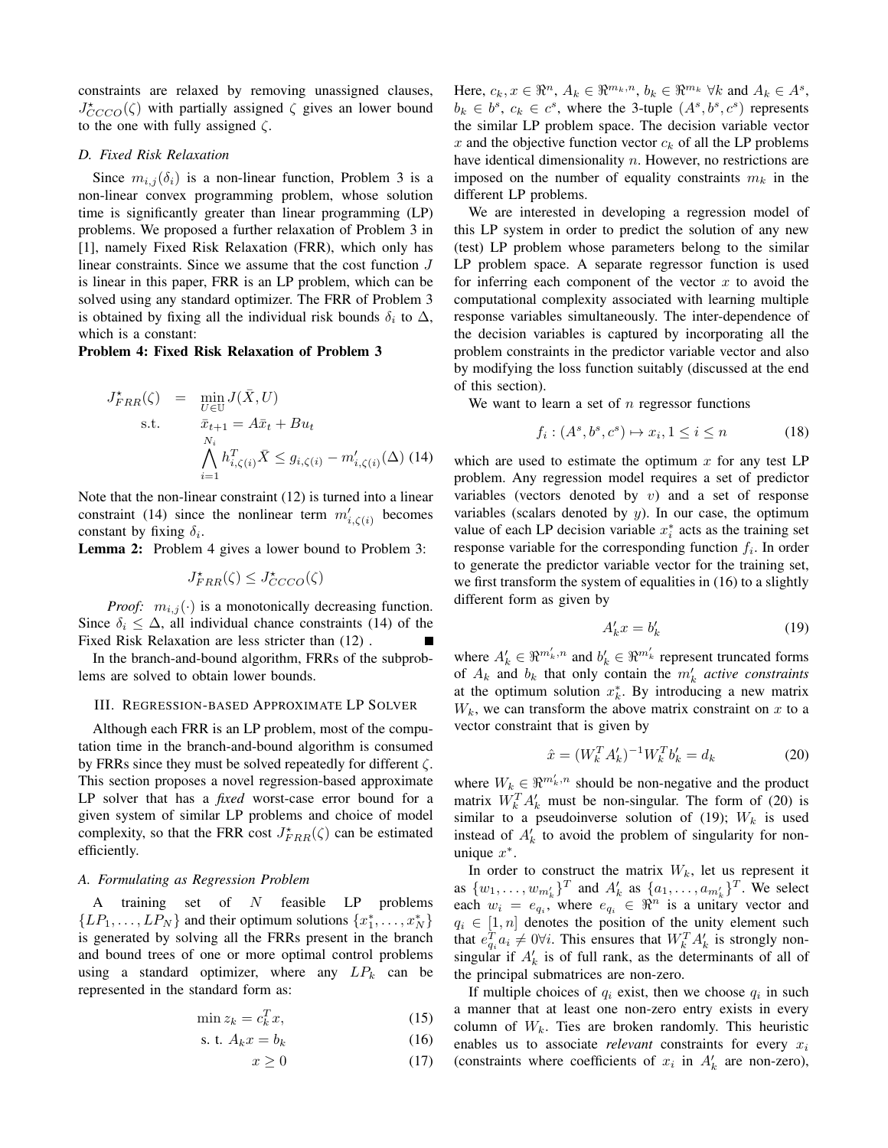constraints are relaxed by removing unassigned clauses,  $J_{CCCO}^{\star}(\zeta)$  with partially assigned  $\zeta$  gives an lower bound to the one with fully assigned *ζ*.

### *D. Fixed Risk Relaxation*

Since  $m_{i,j}(\delta_i)$  is a non-linear function, Problem 3 is a non-linear convex programming problem, whose solution time is significantly greater than linear programming (LP) problems. We proposed a further relaxation of Problem 3 in [1], namely Fixed Risk Relaxation (FRR), which only has linear constraints. Since we assume that the cost function *J* is linear in this paper, FRR is an LP problem, which can be solved using any standard optimizer. The FRR of Problem 3 is obtained by fixing all the individual risk bounds  $\delta_i$  to  $\Delta$ , which is a constant:

# Problem 4: Fixed Risk Relaxation of Problem 3

$$
J_{FRR}^{\star}(\zeta) = \min_{U \in \mathbb{U}} J(\bar{X}, U)
$$
  
s.t. 
$$
\bar{x}_{t+1} = A\bar{x}_t + Bu_t
$$

$$
\bigwedge_{N_i}^{N_i} h_{i,\zeta(i)}^T \bar{X} \le g_{i,\zeta(i)} - m'_{i,\zeta(i)}(\Delta)
$$
(14)

Note that the non-linear constraint (12) is turned into a linear constraint (14) since the nonlinear term  $m'_{i,\zeta(i)}$  becomes constant by fixing  $\delta_i$ .

Lemma 2: Problem 4 gives a lower bound to Problem 3:

$$
J_{FRR}^{\star}(\zeta)\leq J_{CCCO}^{\star}(\zeta)
$$

*Proof:*  $m_{i,j}(\cdot)$  is a monotonically decreasing function. Since  $\delta_i \leq \Delta$ , all individual chance constraints (14) of the Fixed Risk Relaxation are less stricter than (12) .

In the branch-and-bound algorithm, FRRs of the subproblems are solved to obtain lower bounds.

## III. REGRESSION-BASED APPROXIMATE LP SOLVER

Although each FRR is an LP problem, most of the computation time in the branch-and-bound algorithm is consumed by FRRs since they must be solved repeatedly for different *ζ*. This section proposes a novel regression-based approximate LP solver that has a *fixed* worst-case error bound for a given system of similar LP problems and choice of model complexity, so that the FRR cost  $J_{FRR}^{\star}(\zeta)$  can be estimated efficiently.

## *A. Formulating as Regression Problem*

A training set of *N* feasible LP problems  ${LP_1, \ldots, LP_N}$  and their optimum solutions  ${x_1^*, \ldots, x_N^*}$ is generated by solving all the FRRs present in the branch and bound trees of one or more optimal control problems using a standard optimizer, where any  $LP_k$  can be represented in the standard form as:

$$
\min z_k = c_k^T x,\tag{15}
$$

$$
s. t. A_k x = b_k \tag{16}
$$

$$
x \ge 0 \tag{17}
$$

Here,  $c_k, x \in \mathbb{R}^n$ ,  $A_k \in \mathbb{R}^{m_k, n}$ ,  $b_k \in \mathbb{R}^{m_k}$   $\forall k$  and  $A_k \in A^s$ ,  $b_k \in b^s$ ,  $c_k \in c^s$ , where the 3-tuple  $(A^s, b^s, c^s)$  represents the similar LP problem space. The decision variable vector  $x$  and the objective function vector  $c_k$  of all the LP problems have identical dimensionality *n*. However, no restrictions are imposed on the number of equality constraints  $m_k$  in the different LP problems.

We are interested in developing a regression model of this LP system in order to predict the solution of any new (test) LP problem whose parameters belong to the similar LP problem space. A separate regressor function is used for inferring each component of the vector *x* to avoid the computational complexity associated with learning multiple response variables simultaneously. The inter-dependence of the decision variables is captured by incorporating all the problem constraints in the predictor variable vector and also by modifying the loss function suitably (discussed at the end of this section).

We want to learn a set of *n* regressor functions

$$
f_i: (A^s, b^s, c^s) \mapsto x_i, 1 \le i \le n \tag{18}
$$

which are used to estimate the optimum *x* for any test LP problem. Any regression model requires a set of predictor variables (vectors denoted by *v*) and a set of response variables (scalars denoted by *y*). In our case, the optimum value of each LP decision variable  $x_i^*$  acts as the training set response variable for the corresponding function *f<sup>i</sup>* . In order to generate the predictor variable vector for the training set, we first transform the system of equalities in (16) to a slightly different form as given by

$$
A'_k x = b'_k \tag{19}
$$

where  $A'_{k} \in \mathbb{R}^{m'_{k},n}$  and  $b'_{k} \in \mathbb{R}^{m'_{k}}$  represent truncated forms of  $A_k$  and  $b_k$  that only contain the  $m'_k$  active constraints at the optimum solution  $x_k^*$ . By introducing a new matrix  $W_k$ , we can transform the above matrix constraint on  $x$  to a vector constraint that is given by

$$
\hat{x} = (W_k^T A_k')^{-1} W_k^T b_k' = d_k \tag{20}
$$

where  $W_k \in \mathbb{R}^{m'_k, n}$  should be non-negative and the product matrix  $W_k^T A'_k$  must be non-singular. The form of (20) is similar to a pseudoinverse solution of (19);  $W_k$  is used instead of  $A'_{k}$  to avoid the problem of singularity for nonunique *x ∗* .

In order to construct the matrix  $W_k$ , let us represent it as  $\{w_1, \ldots, w_{m'_k}\}^T$  and  $A'_k$  as  $\{a_1, \ldots, a_{m'_k}\}^T$ . We select *k k* each *w<sup>i</sup>* = *e<sup>q</sup><sup>i</sup>* , where *e<sup>q</sup><sup>i</sup> ∈ ℜ<sup>n</sup>* is a unitary vector and  $q_i \in [1, n]$  denotes the position of the unity element such that  $e_{q_i}^T a_i \neq 0 \forall i$ . This ensures that  $W_k^T A'_k$  is strongly nonsingular if  $A'_{k}$  is of full rank, as the determinants of all of the principal submatrices are non-zero.

If multiple choices of  $q_i$  exist, then we choose  $q_i$  in such a manner that at least one non-zero entry exists in every column of *Wk*. Ties are broken randomly. This heuristic enables us to associate *relevant* constraints for every *x<sup>i</sup>* (constraints where coefficients of  $x_i$  in  $A'_k$  are non-zero),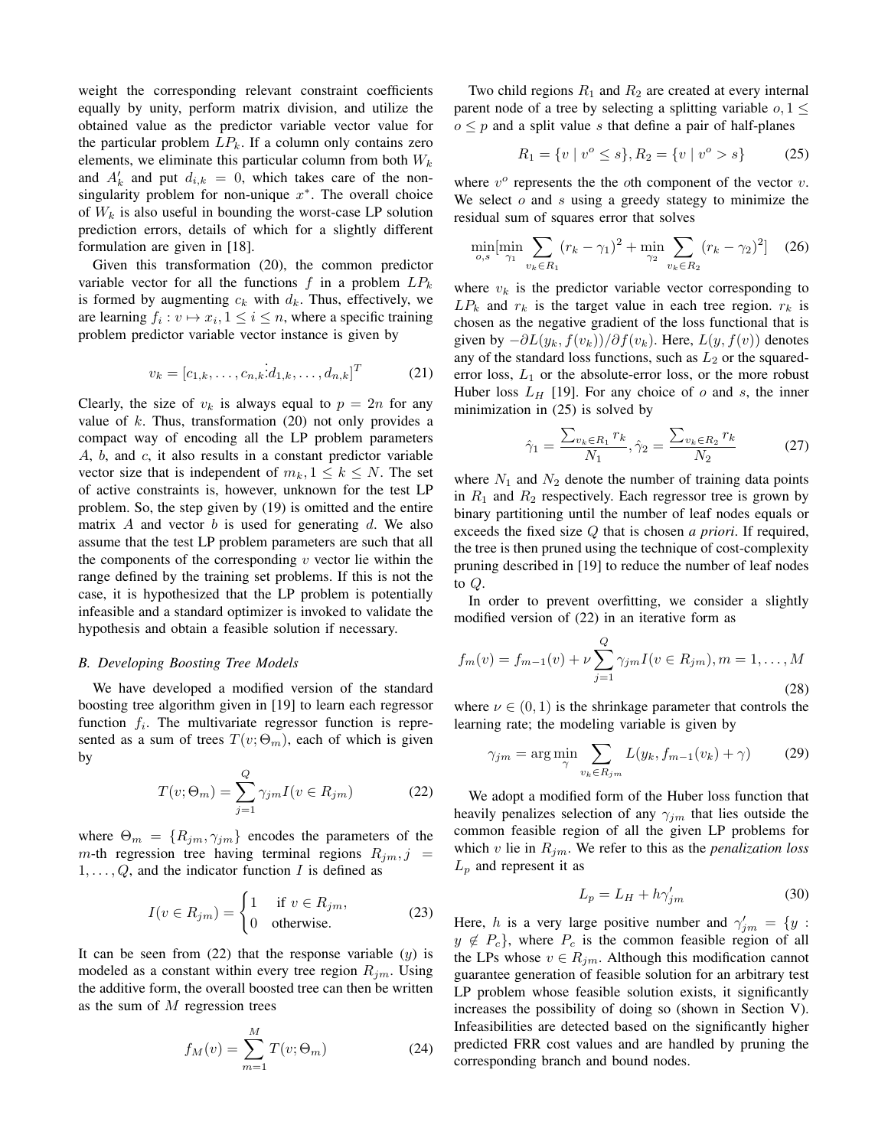weight the corresponding relevant constraint coefficients equally by unity, perform matrix division, and utilize the obtained value as the predictor variable vector value for the particular problem  $LP_k$ . If a column only contains zero elements, we eliminate this particular column from both *W<sup>k</sup>* and  $A'_{k}$  and put  $d_{i,k} = 0$ , which takes care of the nonsingularity problem for non-unique *x ∗* . The overall choice of  $W_k$  is also useful in bounding the worst-case LP solution prediction errors, details of which for a slightly different formulation are given in [18].

Given this transformation (20), the common predictor variable vector for all the functions  $f$  in a problem  $LP_k$ is formed by augmenting  $c_k$  with  $d_k$ . Thus, effectively, we are learning  $f_i: v \mapsto x_i, 1 \leq i \leq n$ , where a specific training problem predictor variable vector instance is given by

$$
v_k = [c_{1,k}, \dots, c_{n,k} \vdots d_{1,k}, \dots, d_{n,k}]^T
$$
 (21)

Clearly, the size of  $v_k$  is always equal to  $p = 2n$  for any value of *k*. Thus, transformation (20) not only provides a compact way of encoding all the LP problem parameters *A*, *b*, and *c*, it also results in a constant predictor variable vector size that is independent of  $m_k$ ,  $1 \leq k \leq N$ . The set of active constraints is, however, unknown for the test LP problem. So, the step given by (19) is omitted and the entire matrix *A* and vector *b* is used for generating *d*. We also assume that the test LP problem parameters are such that all the components of the corresponding *v* vector lie within the range defined by the training set problems. If this is not the case, it is hypothesized that the LP problem is potentially infeasible and a standard optimizer is invoked to validate the hypothesis and obtain a feasible solution if necessary.

## *B. Developing Boosting Tree Models*

We have developed a modified version of the standard boosting tree algorithm given in [19] to learn each regressor function  $f_i$ . The multivariate regressor function is represented as a sum of trees  $T(v; \Theta_m)$ , each of which is given by

$$
T(v; \Theta_m) = \sum_{j=1}^{Q} \gamma_{jm} I(v \in R_{jm})
$$
 (22)

where  $\Theta_m = \{R_{im}, \gamma_{im}\}\)$  encodes the parameters of the  $m$ -th regression tree having terminal regions  $R_{im}$ , j 1*, . . . , Q*, and the indicator function *I* is defined as

$$
I(v \in R_{jm}) = \begin{cases} 1 & \text{if } v \in R_{jm}, \\ 0 & \text{otherwise.} \end{cases}
$$
 (23)

It can be seen from (22) that the response variable (*y*) is modeled as a constant within every tree region *Rjm*. Using the additive form, the overall boosted tree can then be written as the sum of *M* regression trees

$$
f_M(v) = \sum_{m=1}^{M} T(v; \Theta_m)
$$
 (24)

Two child regions  $R_1$  and  $R_2$  are created at every internal parent node of a tree by selecting a splitting variable  $o, 1 \leq$  $o \leq p$  and a split value *s* that define a pair of half-planes

$$
R_1 = \{v \mid v^o \le s\}, R_2 = \{v \mid v^o > s\}
$$
 (25)

where  $v^o$  represents the the *o*th component of the vector  $v$ . We select *o* and *s* using a greedy stategy to minimize the residual sum of squares error that solves

$$
\min_{o,s} [\min_{\gamma_1} \sum_{v_k \in R_1} (r_k - \gamma_1)^2 + \min_{\gamma_2} \sum_{v_k \in R_2} (r_k - \gamma_2)^2] \tag{26}
$$

where  $v_k$  is the predictor variable vector corresponding to  $LP_k$  and  $r_k$  is the target value in each tree region.  $r_k$  is chosen as the negative gradient of the loss functional that is given by  $-\partial L(y_k, f(v_k))/\partial f(v_k)$ . Here,  $L(y, f(v))$  denotes any of the standard loss functions, such as  $L_2$  or the squarederror loss,  $L_1$  or the absolute-error loss, or the more robust Huber loss  $L_H$  [19]. For any choice of  $o$  and  $s$ , the inner minimization in (25) is solved by

$$
\hat{\gamma}_1 = \frac{\sum_{v_k \in R_1} r_k}{N_1}, \hat{\gamma}_2 = \frac{\sum_{v_k \in R_2} r_k}{N_2} \tag{27}
$$

where  $N_1$  and  $N_2$  denote the number of training data points in  $R_1$  and  $R_2$  respectively. Each regressor tree is grown by binary partitioning until the number of leaf nodes equals or exceeds the fixed size *Q* that is chosen *a priori*. If required, the tree is then pruned using the technique of cost-complexity pruning described in [19] to reduce the number of leaf nodes to *Q*.

In order to prevent overfitting, we consider a slightly modified version of (22) in an iterative form as

$$
f_m(v) = f_{m-1}(v) + \nu \sum_{j=1}^{Q} \gamma_{jm} I(v \in R_{jm}), m = 1, ..., M
$$
\n(28)

where  $\nu \in (0, 1)$  is the shrinkage parameter that controls the learning rate; the modeling variable is given by

$$
\gamma_{jm} = \arg\min_{\gamma} \sum_{v_k \in R_{jm}} L(y_k, f_{m-1}(v_k) + \gamma)
$$
 (29)

We adopt a modified form of the Huber loss function that heavily penalizes selection of any *γjm* that lies outside the common feasible region of all the given LP problems for which *v* lie in *Rjm*. We refer to this as the *penalization loss L<sup>p</sup>* and represent it as

$$
L_p = L_H + h\gamma'_{jm} \tag{30}
$$

Here, *h* is a very large positive number and  $\gamma'_{jm} = \{y : j\}$  $y \notin P_c$ , where  $P_c$  is the common feasible region of all the LPs whose  $v \in R_{jm}$ . Although this modification cannot guarantee generation of feasible solution for an arbitrary test LP problem whose feasible solution exists, it significantly increases the possibility of doing so (shown in Section V). Infeasibilities are detected based on the significantly higher predicted FRR cost values and are handled by pruning the corresponding branch and bound nodes.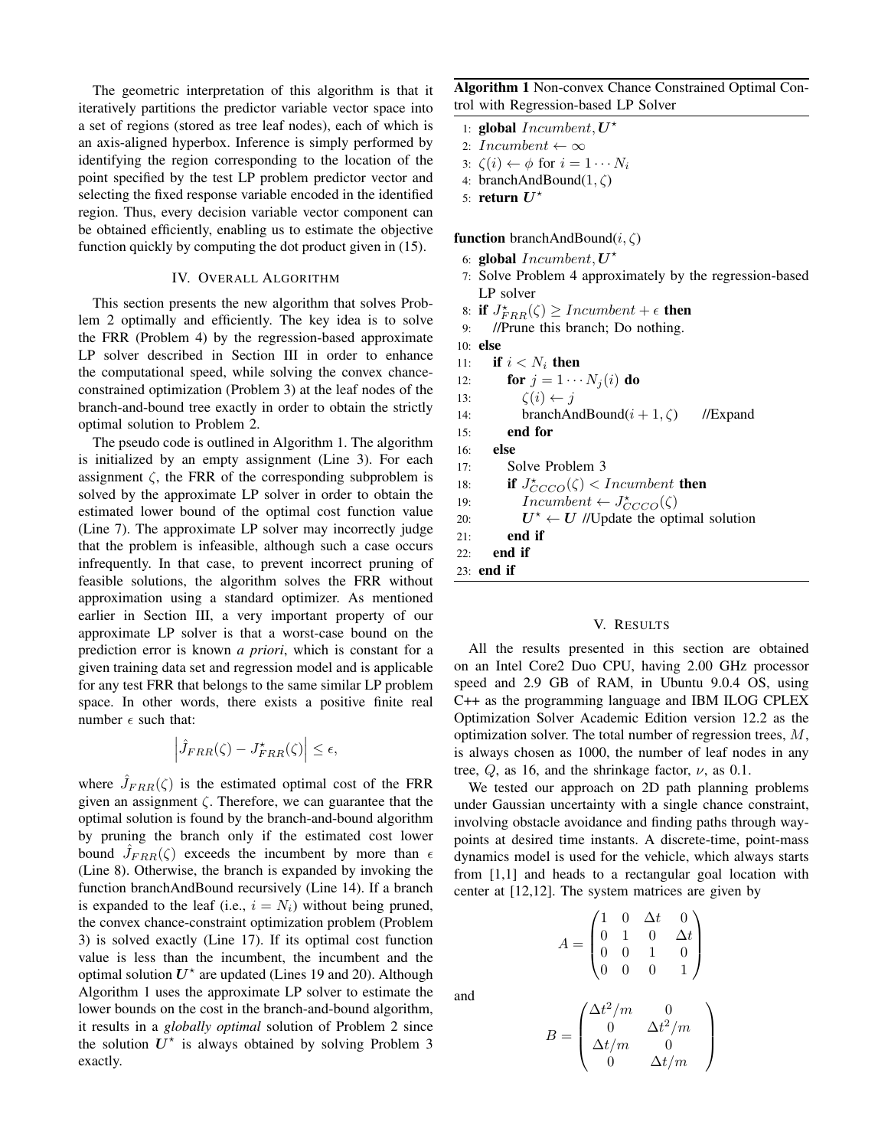The geometric interpretation of this algorithm is that it iteratively partitions the predictor variable vector space into a set of regions (stored as tree leaf nodes), each of which is an axis-aligned hyperbox. Inference is simply performed by identifying the region corresponding to the location of the point specified by the test LP problem predictor vector and selecting the fixed response variable encoded in the identified region. Thus, every decision variable vector component can be obtained efficiently, enabling us to estimate the objective function quickly by computing the dot product given in (15).

# IV. OVERALL ALGORITHM

This section presents the new algorithm that solves Problem 2 optimally and efficiently. The key idea is to solve the FRR (Problem 4) by the regression-based approximate LP solver described in Section III in order to enhance the computational speed, while solving the convex chanceconstrained optimization (Problem 3) at the leaf nodes of the branch-and-bound tree exactly in order to obtain the strictly optimal solution to Problem 2.

The pseudo code is outlined in Algorithm 1. The algorithm is initialized by an empty assignment (Line 3). For each assignment  $\zeta$ , the FRR of the corresponding subproblem is solved by the approximate LP solver in order to obtain the estimated lower bound of the optimal cost function value (Line 7). The approximate LP solver may incorrectly judge that the problem is infeasible, although such a case occurs infrequently. In that case, to prevent incorrect pruning of feasible solutions, the algorithm solves the FRR without approximation using a standard optimizer. As mentioned earlier in Section III, a very important property of our approximate LP solver is that a worst-case bound on the prediction error is known *a priori*, which is constant for a given training data set and regression model and is applicable for any test FRR that belongs to the same similar LP problem space. In other words, there exists a positive finite real number  $\epsilon$  such that:

$$
\left|\hat{J}_{FRR}(\zeta) - J_{FRR}^{\star}(\zeta)\right| \leq \epsilon,
$$

where  $\hat{J}_{FRR}(\zeta)$  is the estimated optimal cost of the FRR given an assignment *ζ*. Therefore, we can guarantee that the optimal solution is found by the branch-and-bound algorithm by pruning the branch only if the estimated cost lower bound  $\hat{J}_{FRR}(\zeta)$  exceeds the incumbent by more than  $\epsilon$ (Line 8). Otherwise, the branch is expanded by invoking the function branchAndBound recursively (Line 14). If a branch is expanded to the leaf (i.e.,  $i = N_i$ ) without being pruned, the convex chance-constraint optimization problem (Problem 3) is solved exactly (Line 17). If its optimal cost function value is less than the incumbent, the incumbent and the optimal solution  $U^*$  are updated (Lines 19 and 20). Although Algorithm 1 uses the approximate LP solver to estimate the lower bounds on the cost in the branch-and-bound algorithm, it results in a *globally optimal* solution of Problem 2 since the solution  $U^*$  is always obtained by solving Problem 3 exactly.

Algorithm 1 Non-convex Chance Constrained Optimal Control with Regression-based LP Solver

- 1: global  $\textit{Incumbent}, U^*$
- 2: *Incumbent*  $\leftarrow \infty$
- 3:  $\zeta(i) \leftarrow \phi$  for  $i = 1 \cdots N_i$
- 4: branchAndBound(1*, ζ*)
- 5: **return**  $U^*$

function branchAndBound(*i, ζ*)

- 6: global  $\text{Incumbent}, U^*$
- 7: Solve Problem 4 approximately by the regression-based LP solver
- 8: if  $J_{FRR}^{\star}(\zeta) \geq Incumbent + \epsilon$  then
- 9: //Prune this branch; Do nothing.
- 10: else

11: **if**  $i < N_i$  then 12: **for**  $j = 1 \cdots N_j(i)$  do 13:  $\zeta(i) \leftarrow j$ 14: branchAndBound(*i* + 1*, ζ*) //Expand 15: end for 16: else 17: Solve Problem 3 18: **if**  $J_{CCCO}^{\star}(\zeta) < Incumbent$  then 19:  $Incumbent \leftarrow J^{\star}_{CCCO}(\zeta)$ 20:  $U^* \leftarrow U$  //Update the optimal solution 21: end if 22: end if 23: end if

# V. RESULTS

All the results presented in this section are obtained on an Intel Core2 Duo CPU, having 2.00 GHz processor speed and 2.9 GB of RAM, in Ubuntu 9.0.4 OS, using C++ as the programming language and IBM ILOG CPLEX Optimization Solver Academic Edition version 12.2 as the optimization solver. The total number of regression trees, *M*, is always chosen as 1000, the number of leaf nodes in any tree,  $Q$ , as 16, and the shrinkage factor,  $\nu$ , as 0.1.

We tested our approach on 2D path planning problems under Gaussian uncertainty with a single chance constraint, involving obstacle avoidance and finding paths through waypoints at desired time instants. A discrete-time, point-mass dynamics model is used for the vehicle, which always starts from [1,1] and heads to a rectangular goal location with center at [12,12]. The system matrices are given by

$$
A = \begin{pmatrix} 1 & 0 & \Delta t & 0 \\ 0 & 1 & 0 & \Delta t \\ 0 & 0 & 1 & 0 \\ 0 & 0 & 0 & 1 \end{pmatrix}
$$

and

$$
B = \begin{pmatrix} \Delta t^2/m & 0\\ 0 & \Delta t^2/m\\ \Delta t/m & 0\\ 0 & \Delta t/m \end{pmatrix}
$$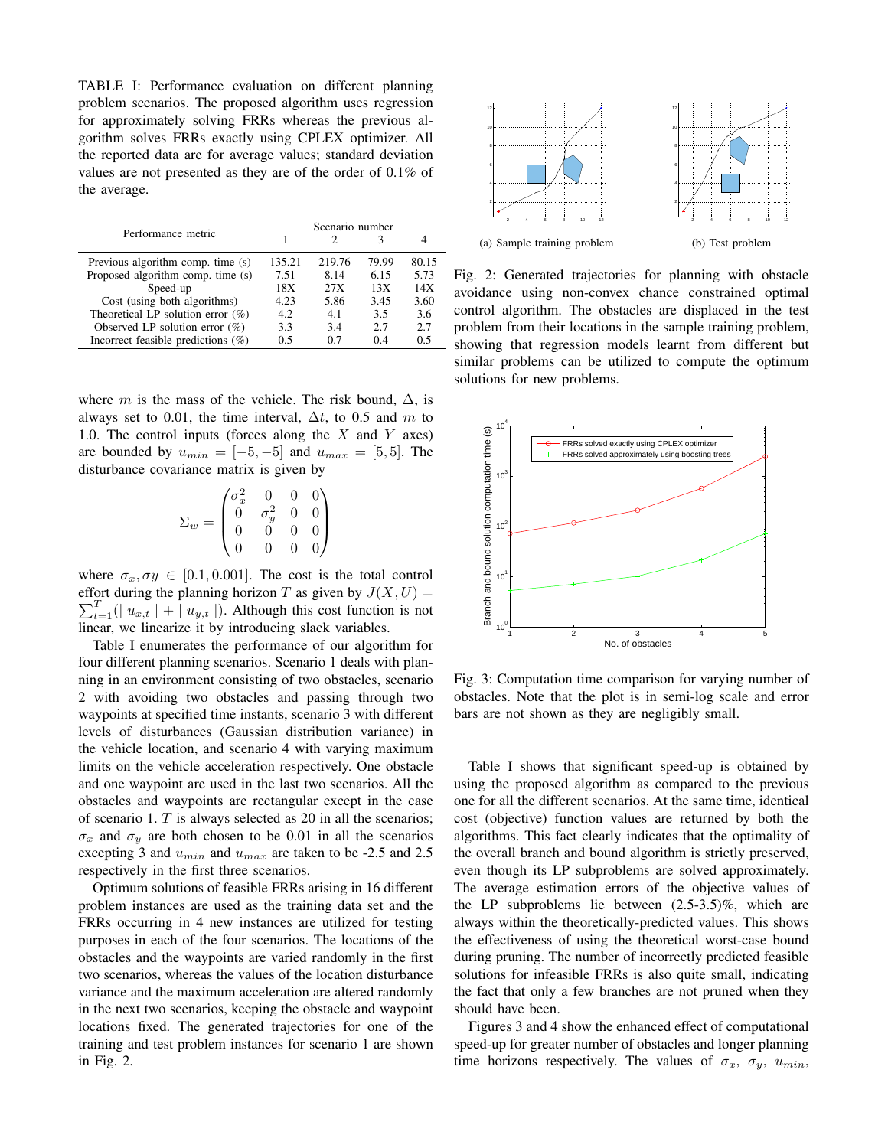TABLE I: Performance evaluation on different planning problem scenarios. The proposed algorithm uses regression for approximately solving FRRs whereas the previous algorithm solves FRRs exactly using CPLEX optimizer. All the reported data are for average values; standard deviation values are not presented as they are of the order of 0.1% of the average.

| Performance metric                    | Scenario number |        |       |       |
|---------------------------------------|-----------------|--------|-------|-------|
|                                       |                 |        | 3     |       |
| Previous algorithm comp. time (s)     | 135.21          | 219.76 | 79.99 | 80.15 |
| Proposed algorithm comp. time (s)     | 7.51            | 8.14   | 6.15  | 5.73  |
| Speed-up                              | 18X             | 27X    | 13X   | 14X   |
| Cost (using both algorithms)          | 4.23            | 5.86   | 3.45  | 3.60  |
| Theoretical LP solution error $(\%)$  | 42              | 4.1    | 3.5   | 3.6   |
| Observed LP solution error $(\%)$     | 3.3             | 34     | 27    | 2.7   |
| Incorrect feasible predictions $(\%)$ | 0.5             | 0.7    | 0.4   | 0.5   |

where *m* is the mass of the vehicle. The risk bound,  $\Delta$ , is always set to 0.01, the time interval, ∆*t*, to 0.5 and *m* to 1.0. The control inputs (forces along the *X* and *Y* axes) are bounded by  $u_{min} = [-5, -5]$  and  $u_{max} = [5, 5]$ . The disturbance covariance matrix is given by

$$
\Sigma_w = \begin{pmatrix} \sigma_x^2 & 0 & 0 & 0 \\ 0 & \sigma_y^2 & 0 & 0 \\ 0 & 0 & 0 & 0 \\ 0 & 0 & 0 & 0 \end{pmatrix}
$$

where  $\sigma_x, \sigma_y \in [0.1, 0.001]$ . The cost is the total control effort during the planning horizon T as given by  $J(\overline{X}, U) =$  $\sum_{t=1}^{T} (|u_{x,t}| + |u_{y,t}|)$ . Although this cost function is not linear, we linearize it by introducing slack variables.

Table I enumerates the performance of our algorithm for four different planning scenarios. Scenario 1 deals with planning in an environment consisting of two obstacles, scenario 2 with avoiding two obstacles and passing through two waypoints at specified time instants, scenario 3 with different levels of disturbances (Gaussian distribution variance) in the vehicle location, and scenario 4 with varying maximum limits on the vehicle acceleration respectively. One obstacle and one waypoint are used in the last two scenarios. All the obstacles and waypoints are rectangular except in the case of scenario 1. *T* is always selected as 20 in all the scenarios;  $\sigma_x$  and  $\sigma_y$  are both chosen to be 0.01 in all the scenarios excepting 3 and *umin* and *umax* are taken to be -2.5 and 2.5 respectively in the first three scenarios.

Optimum solutions of feasible FRRs arising in 16 different problem instances are used as the training data set and the FRRs occurring in 4 new instances are utilized for testing purposes in each of the four scenarios. The locations of the obstacles and the waypoints are varied randomly in the first two scenarios, whereas the values of the location disturbance variance and the maximum acceleration are altered randomly in the next two scenarios, keeping the obstacle and waypoint locations fixed. The generated trajectories for one of the training and test problem instances for scenario 1 are shown in Fig. 2.



Fig. 2: Generated trajectories for planning with obstacle avoidance using non-convex chance constrained optimal control algorithm. The obstacles are displaced in the test problem from their locations in the sample training problem, showing that regression models learnt from different but similar problems can be utilized to compute the optimum solutions for new problems.



Fig. 3: Computation time comparison for varying number of obstacles. Note that the plot is in semi-log scale and error bars are not shown as they are negligibly small.

Table I shows that significant speed-up is obtained by using the proposed algorithm as compared to the previous one for all the different scenarios. At the same time, identical cost (objective) function values are returned by both the algorithms. This fact clearly indicates that the optimality of the overall branch and bound algorithm is strictly preserved, even though its LP subproblems are solved approximately. The average estimation errors of the objective values of the LP subproblems lie between (2.5-3.5)%, which are always within the theoretically-predicted values. This shows the effectiveness of using the theoretical worst-case bound during pruning. The number of incorrectly predicted feasible solutions for infeasible FRRs is also quite small, indicating the fact that only a few branches are not pruned when they should have been.

Figures 3 and 4 show the enhanced effect of computational speed-up for greater number of obstacles and longer planning time horizons respectively. The values of  $\sigma_x$ ,  $\sigma_y$ ,  $u_{min}$ ,